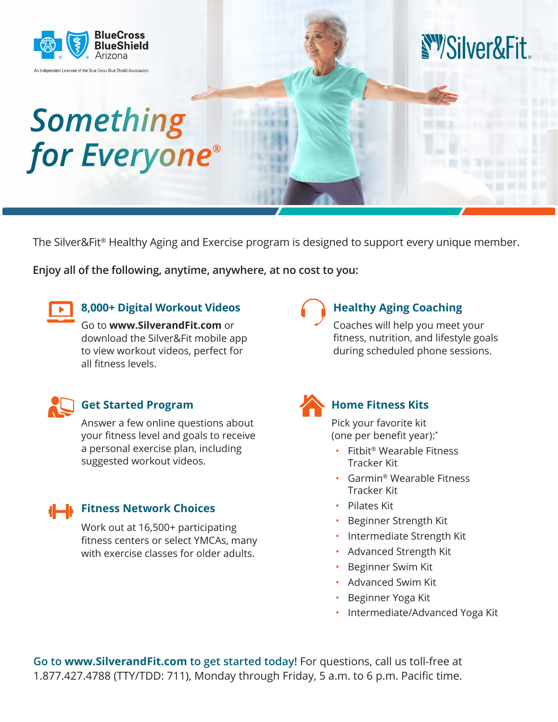

The Silver&Fit® Healthy Aging and Exercise program is designed to support every unique member.

**Enjoy all of the following, anytime, anywhere, at no cost to you:**



## **8,000+ Digital Workout Videos**

Go to **www.SilverandFit.com** or download the Silver&Fit mobile app to view workout videos, perfect for all fitness levels.



### **Get Started Program**

Answer a few online questions about your fitness level and goals to receive a personal exercise plan, including suggested workout videos.

## **Fitness Network Choices**

Work out at 16,500+ participating fitness centers or select YMCAs, many with exercise classes for older adults.

# **Healthy Aging Coaching**

Coaches will help you meet your fitness, nutrition, and lifestyle goals during scheduled phone sessions.



## **Home Fitness Kits**

Pick your favorite kit (one per benefit year):\*

- Fitbit® Wearable Fitness Tracker Kit
- Garmin® Wearable Fitness Tracker Kit
- Pilates Kit
- Beginner Strength Kit
- Intermediate Strength Kit
- Advanced Strength Kit
- Beginner Swim Kit
- Advanced Swim Kit
- Beginner Yoga Kit
- Intermediate/Advanced Yoga Kit

**Go to www.SilverandFit.com to get started today!** For questions, call us toll-free at 1.877.427.4788 (TTY/TDD: 711), Monday through Friday, 5 a.m. to 6 p.m. Pacific time.